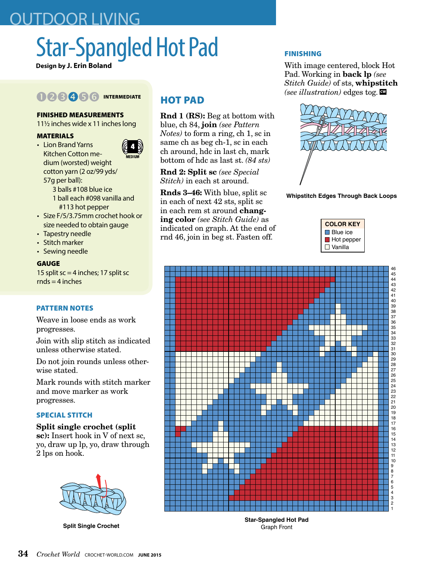# OUTDOOR LIVING

# Star-Spangled Hot Pad

**Design by J. Erin Boland**

## 008056 INTERMEDIATE

#### FINISHED MEASUREMENTS

11 $\frac{1}{2}$  inches wide x 11 inches long

#### MATERIALS

• Lion Brand Yarns Kitchen Cotton medium (worsted) weight cotton yarn (2 oz/99 yds/ 57g per ball):



- 1 ball each #098 vanilla and #113 hot pepper
- Size F/5/3.75mm crochet hook or size needed to obtain gauge
- Tapestry needle
- Stitch marker
- Sewing needle

GAUGE 15 split  $sc = 4$  inches; 17 split sc  $rnds = 4$  inches

#### PATTERN NOTES

Weave in loose ends as work progresses.

Join with slip stitch as indicated unless otherwise stated.

Do not join rounds unless otherwise stated.

Mark rounds with stitch marker and move marker as work progresses.

#### SPECIAL STITCH

Split single crochet (split sc): Insert hook in V of next sc, yo, draw up lp, yo, draw through 2 lps on hook.



**Split Single Crochet**

### HOT PAD

Rnd 1 (RS): Beg at bottom with blue, ch 84, join *(see Pattern Notes)* to form a ring, ch 1, sc in same ch as beg ch-1, sc in each ch around, hdc in last ch, mark bottom of hdc as last st. *(84 sts)*

Rnd 2: Split sc *(see Special Stitch)* in each st around.

Rnds 3–46: With blue, split sc in each of next 42 sts, split sc in each rem st around changing color *(see Stitch Guide)* as indicated on graph. At the end of rnd 46, join in beg st. Fasten off.

#### FINISHING

With image centered, block Hot Pad. Working in back lp *(see Stitch Guide)* of sts, whipstitch *(see illustration)* edges tog.  $\mathbb{Q}$ 



**Whipstitch Edges Through Back Loops**





**Star-Spangled Hot Pad** Graph Front